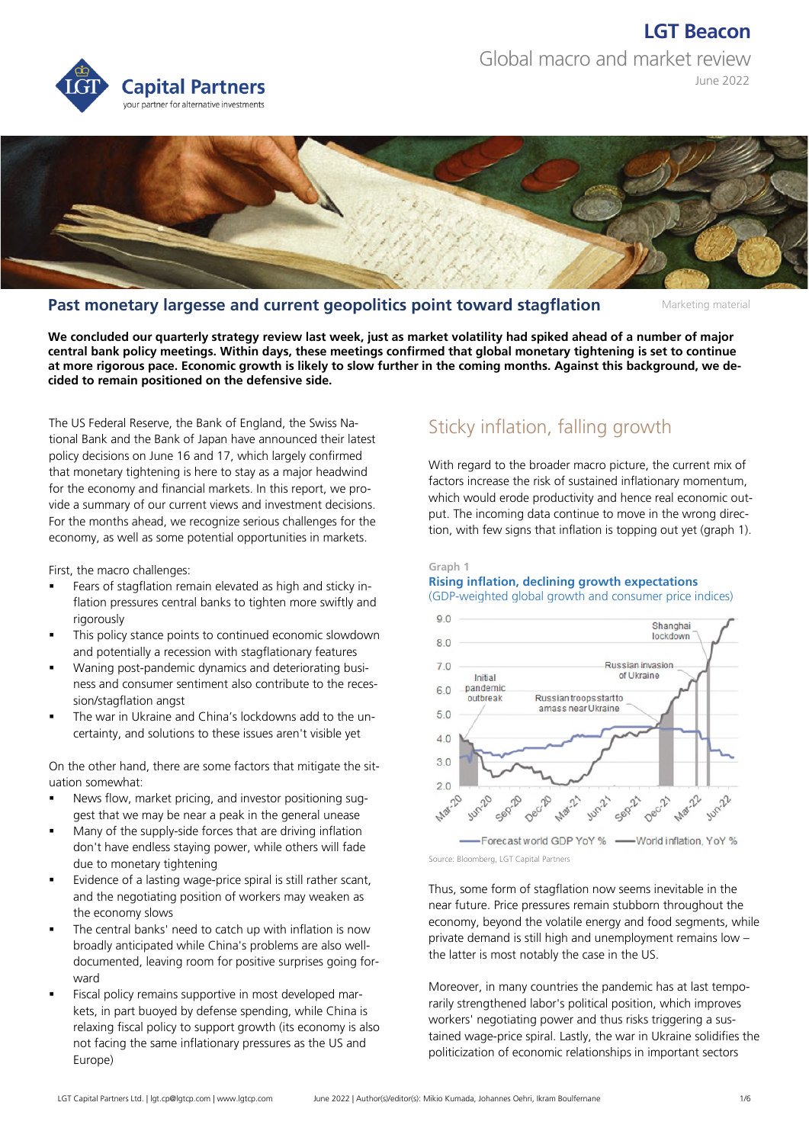# **LGT Beacon** Global macro and market review



June 2022



### **Past monetary largesse and current geopolitics point toward stagflation**

Marketing material

**We concluded our quarterly strategy review last week, just as market volatility had spiked ahead of a number of major central bank policy meetings. Within days, these meetings confirmed that global monetary tightening is set to continue at more rigorous pace. Economic growth is likely to slow further in the coming months. Against this background, we decided to remain positioned on the defensive side.** 

The US Federal Reserve, the Bank of England, the Swiss National Bank and the Bank of Japan have announced their latest policy decisions on June 16 and 17, which largely confirmed that monetary tightening is here to stay as a major headwind for the economy and financial markets. In this report, we provide a summary of our current views and investment decisions. For the months ahead, we recognize serious challenges for the economy, as well as some potential opportunities in markets.

First, the macro challenges:

- Fears of stagflation remain elevated as high and sticky inflation pressures central banks to tighten more swiftly and rigorously
- This policy stance points to continued economic slowdown and potentially a recession with stagflationary features
- Waning post-pandemic dynamics and deteriorating business and consumer sentiment also contribute to the recession/stagflation angst
- The war in Ukraine and China's lockdowns add to the uncertainty, and solutions to these issues aren't visible yet

On the other hand, there are some factors that mitigate the situation somewhat:

- News flow, market pricing, and investor positioning suggest that we may be near a peak in the general unease
- Many of the supply-side forces that are driving inflation don't have endless staying power, while others will fade due to monetary tightening
- Evidence of a lasting wage-price spiral is still rather scant, and the negotiating position of workers may weaken as the economy slows
- The central banks' need to catch up with inflation is now broadly anticipated while China's problems are also welldocumented, leaving room for positive surprises going forward
- Fiscal policy remains supportive in most developed markets, in part buoyed by defense spending, while China is relaxing fiscal policy to support growth (its economy is also not facing the same inflationary pressures as the US and Europe)

## Sticky inflation, falling growth

With regard to the broader macro picture, the current mix of factors increase the risk of sustained inflationary momentum, which would erode productivity and hence real economic output. The incoming data continue to move in the wrong direction, with few signs that inflation is topping out yet (graph 1).

#### **Graph 1**

#### **Rising inflation, declining growth expectations**  (GDP-weighted global growth and consumer price indices)



Source: Bloomberg, LGT Capital Partners

Thus, some form of stagflation now seems inevitable in the near future. Price pressures remain stubborn throughout the economy, beyond the volatile energy and food segments, while private demand is still high and unemployment remains low – the latter is most notably the case in the US.

Moreover, in many countries the pandemic has at last temporarily strengthened labor's political position, which improves workers' negotiating power and thus risks triggering a sustained wage-price spiral. Lastly, the war in Ukraine solidifies the politicization of economic relationships in important sectors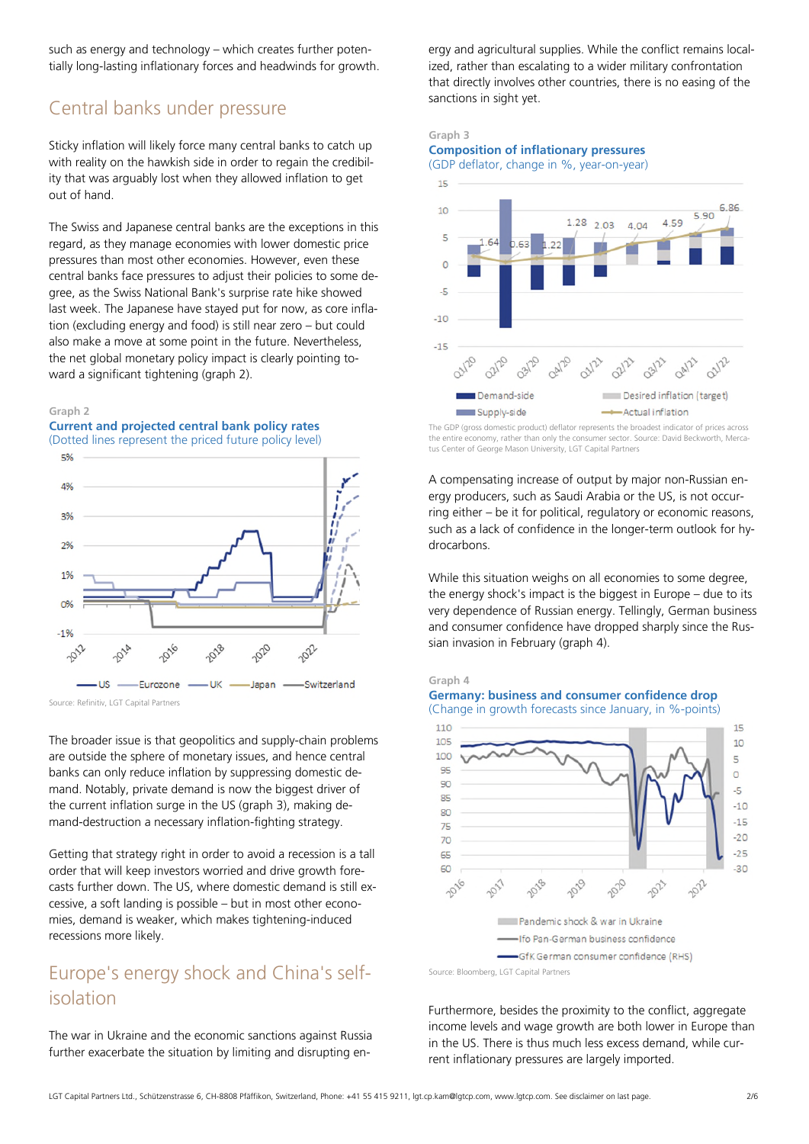such as energy and technology – which creates further potentially long-lasting inflationary forces and headwinds for growth.

### Central banks under pressure

Sticky inflation will likely force many central banks to catch up with reality on the hawkish side in order to regain the credibility that was arguably lost when they allowed inflation to get out of hand.

The Swiss and Japanese central banks are the exceptions in this regard, as they manage economies with lower domestic price pressures than most other economies. However, even these central banks face pressures to adjust their policies to some degree, as the Swiss National Bank's surprise rate hike showed last week. The Japanese have stayed put for now, as core inflation (excluding energy and food) is still near zero – but could also make a move at some point in the future. Nevertheless, the net global monetary policy impact is clearly pointing toward a significant tightening (graph 2).

#### **Graph 2**





Source: Refinitiv, LGT Capital Partners

The broader issue is that geopolitics and supply-chain problems are outside the sphere of monetary issues, and hence central banks can only reduce inflation by suppressing domestic demand. Notably, private demand is now the biggest driver of the current inflation surge in the US (graph 3), making demand-destruction a necessary inflation-fighting strategy.

Getting that strategy right in order to avoid a recession is a tall order that will keep investors worried and drive growth forecasts further down. The US, where domestic demand is still excessive, a soft landing is possible – but in most other economies, demand is weaker, which makes tightening-induced recessions more likely.

### Europe's energy shock and China's selfisolation

The war in Ukraine and the economic sanctions against Russia further exacerbate the situation by limiting and disrupting energy and agricultural supplies. While the conflict remains localized, rather than escalating to a wider military confrontation that directly involves other countries, there is no easing of the sanctions in sight yet.

### **Graph 3 Composition of inflationary pressures**





The GDP (gross domestic product) deflator represents the broadest indicator of prices across the entire economy, rather than only the consumer sector. Source: David Beckworth, Mercatus Center of George Mason University, LGT Capital Partners

A compensating increase of output by major non-Russian energy producers, such as Saudi Arabia or the US, is not occurring either – be it for political, regulatory or economic reasons, such as a lack of confidence in the longer-term outlook for hydrocarbons.

While this situation weighs on all economies to some degree, the energy shock's impact is the biggest in Europe – due to its very dependence of Russian energy. Tellingly, German business and consumer confidence have dropped sharply since the Russian invasion in February (graph 4).





(Change in growth forecasts since January, in %-points)



Source: Bloomberg, LGT Capital Partners

Furthermore, besides the proximity to the conflict, aggregate income levels and wage growth are both lower in Europe than in the US. There is thus much less excess demand, while current inflationary pressures are largely imported.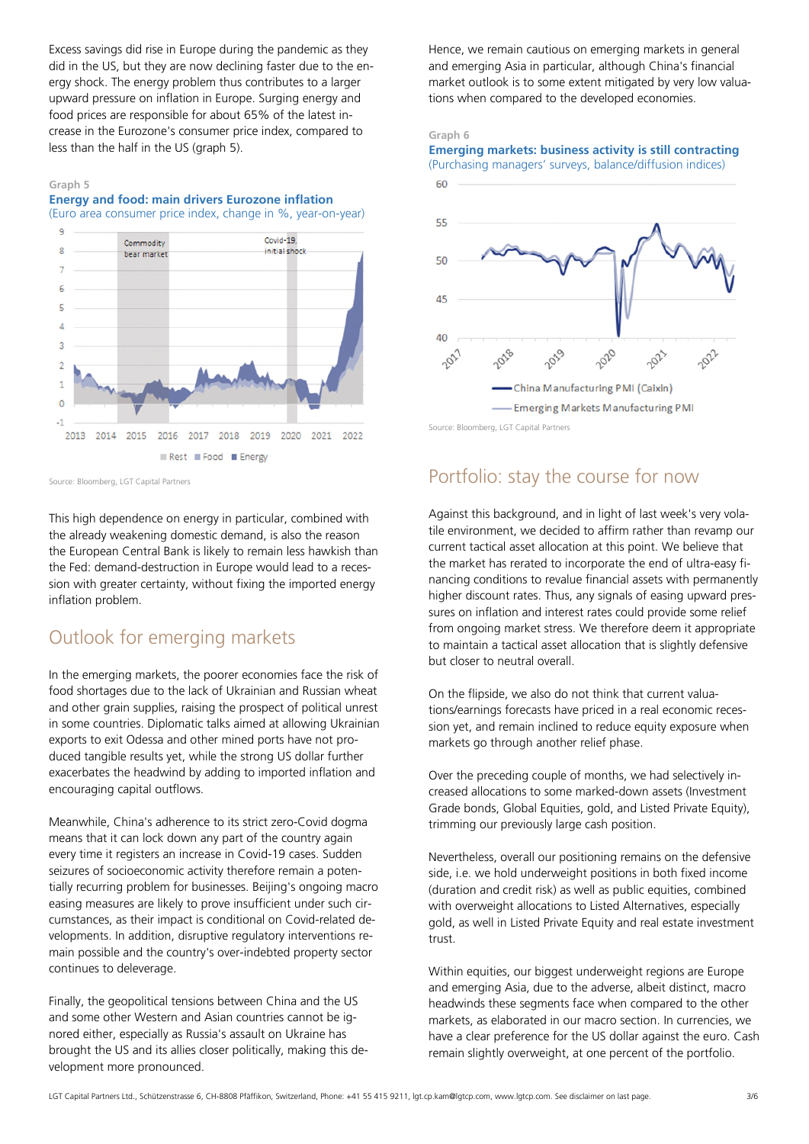Excess savings did rise in Europe during the pandemic as they did in the US, but they are now declining faster due to the energy shock. The energy problem thus contributes to a larger upward pressure on inflation in Europe. Surging energy and food prices are responsible for about 65% of the latest increase in the Eurozone's consumer price index, compared to less than the half in the US (graph 5).

#### **Graph 5**

**Energy and food: main drivers Eurozone inflation**  (Euro area consumer price index, change in %, year-on-year)



Source: Bloomberg, LGT Capital Partners

This high dependence on energy in particular, combined with the already weakening domestic demand, is also the reason the European Central Bank is likely to remain less hawkish than the Fed: demand-destruction in Europe would lead to a recession with greater certainty, without fixing the imported energy inflation problem.

### Outlook for emerging markets

In the emerging markets, the poorer economies face the risk of food shortages due to the lack of Ukrainian and Russian wheat and other grain supplies, raising the prospect of political unrest in some countries. Diplomatic talks aimed at allowing Ukrainian exports to exit Odessa and other mined ports have not produced tangible results yet, while the strong US dollar further exacerbates the headwind by adding to imported inflation and encouraging capital outflows.

Meanwhile, China's adherence to its strict zero-Covid dogma means that it can lock down any part of the country again every time it registers an increase in Covid-19 cases. Sudden seizures of socioeconomic activity therefore remain a potentially recurring problem for businesses. Beijing's ongoing macro easing measures are likely to prove insufficient under such circumstances, as their impact is conditional on Covid-related developments. In addition, disruptive regulatory interventions remain possible and the country's over-indebted property sector continues to deleverage.

Finally, the geopolitical tensions between China and the US and some other Western and Asian countries cannot be ignored either, especially as Russia's assault on Ukraine has brought the US and its allies closer politically, making this development more pronounced.

Hence, we remain cautious on emerging markets in general and emerging Asia in particular, although China's financial market outlook is to some extent mitigated by very low valuations when compared to the developed economies.

#### **Graph 6**

**Emerging markets: business activity is still contracting** 



Source: Bloomberg, LGT Capital Partners

### Portfolio: stay the course for now

Against this background, and in light of last week's very volatile environment, we decided to affirm rather than revamp our current tactical asset allocation at this point. We believe that the market has rerated to incorporate the end of ultra-easy financing conditions to revalue financial assets with permanently higher discount rates. Thus, any signals of easing upward pressures on inflation and interest rates could provide some relief from ongoing market stress. We therefore deem it appropriate to maintain a tactical asset allocation that is slightly defensive but closer to neutral overall.

On the flipside, we also do not think that current valuations/earnings forecasts have priced in a real economic recession yet, and remain inclined to reduce equity exposure when markets go through another relief phase.

Over the preceding couple of months, we had selectively increased allocations to some marked-down assets (Investment Grade bonds, Global Equities, gold, and Listed Private Equity), trimming our previously large cash position.

Nevertheless, overall our positioning remains on the defensive side, i.e. we hold underweight positions in both fixed income (duration and credit risk) as well as public equities, combined with overweight allocations to Listed Alternatives, especially gold, as well in Listed Private Equity and real estate investment trust.

Within equities, our biggest underweight regions are Europe and emerging Asia, due to the adverse, albeit distinct, macro headwinds these segments face when compared to the other markets, as elaborated in our macro section. In currencies, we have a clear preference for the US dollar against the euro. Cash remain slightly overweight, at one percent of the portfolio.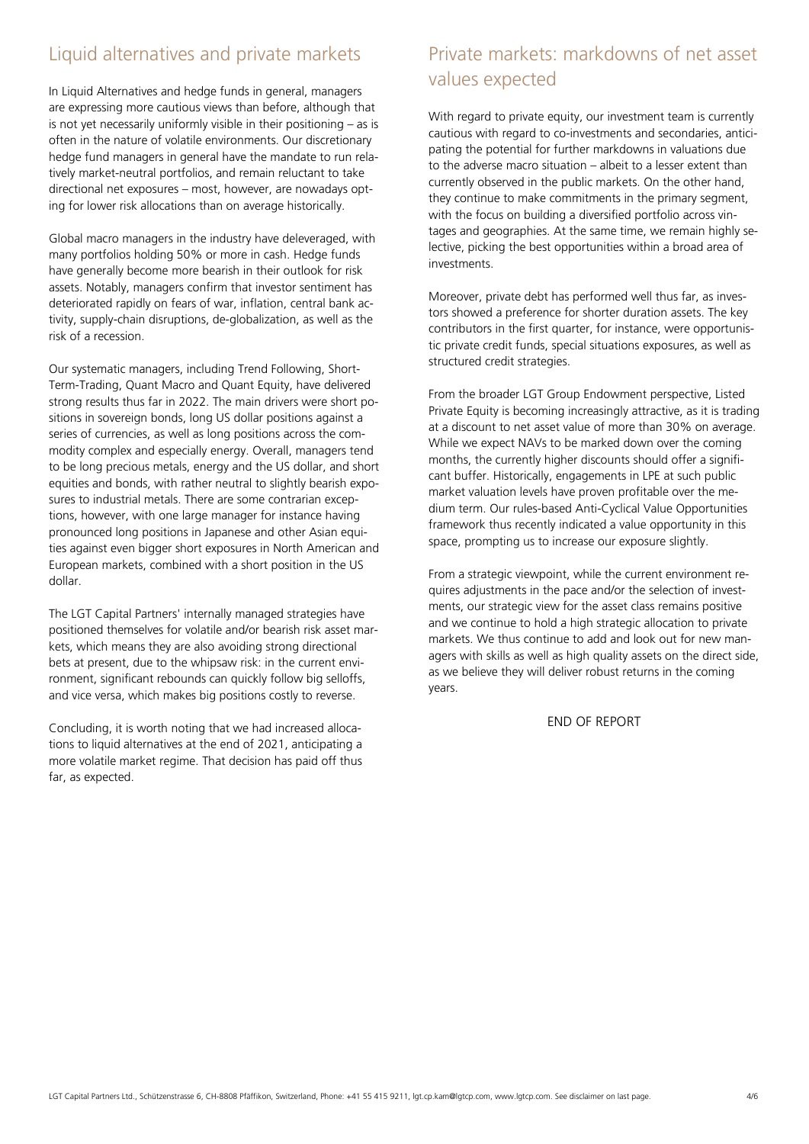### Liquid alternatives and private markets

In Liquid Alternatives and hedge funds in general, managers are expressing more cautious views than before, although that is not yet necessarily uniformly visible in their positioning – as is often in the nature of volatile environments. Our discretionary hedge fund managers in general have the mandate to run relatively market-neutral portfolios, and remain reluctant to take directional net exposures – most, however, are nowadays opting for lower risk allocations than on average historically.

Global macro managers in the industry have deleveraged, with many portfolios holding 50% or more in cash. Hedge funds have generally become more bearish in their outlook for risk assets. Notably, managers confirm that investor sentiment has deteriorated rapidly on fears of war, inflation, central bank activity, supply-chain disruptions, de-globalization, as well as the risk of a recession.

Our systematic managers, including Trend Following, Short-Term-Trading, Quant Macro and Quant Equity, have delivered strong results thus far in 2022. The main drivers were short positions in sovereign bonds, long US dollar positions against a series of currencies, as well as long positions across the commodity complex and especially energy. Overall, managers tend to be long precious metals, energy and the US dollar, and short equities and bonds, with rather neutral to slightly bearish exposures to industrial metals. There are some contrarian exceptions, however, with one large manager for instance having pronounced long positions in Japanese and other Asian equities against even bigger short exposures in North American and European markets, combined with a short position in the US dollar.

The LGT Capital Partners' internally managed strategies have positioned themselves for volatile and/or bearish risk asset markets, which means they are also avoiding strong directional bets at present, due to the whipsaw risk: in the current environment, significant rebounds can quickly follow big selloffs, and vice versa, which makes big positions costly to reverse.

Concluding, it is worth noting that we had increased allocations to liquid alternatives at the end of 2021, anticipating a more volatile market regime. That decision has paid off thus far, as expected.

## Private markets: markdowns of net asset values expected

With regard to private equity, our investment team is currently cautious with regard to co-investments and secondaries, anticipating the potential for further markdowns in valuations due to the adverse macro situation – albeit to a lesser extent than currently observed in the public markets. On the other hand, they continue to make commitments in the primary segment, with the focus on building a diversified portfolio across vintages and geographies. At the same time, we remain highly selective, picking the best opportunities within a broad area of investments.

Moreover, private debt has performed well thus far, as investors showed a preference for shorter duration assets. The key contributors in the first quarter, for instance, were opportunistic private credit funds, special situations exposures, as well as structured credit strategies.

From the broader LGT Group Endowment perspective, Listed Private Equity is becoming increasingly attractive, as it is trading at a discount to net asset value of more than 30% on average. While we expect NAVs to be marked down over the coming months, the currently higher discounts should offer a significant buffer. Historically, engagements in LPE at such public market valuation levels have proven profitable over the medium term. Our rules-based Anti-Cyclical Value Opportunities framework thus recently indicated a value opportunity in this space, prompting us to increase our exposure slightly.

From a strategic viewpoint, while the current environment requires adjustments in the pace and/or the selection of investments, our strategic view for the asset class remains positive and we continue to hold a high strategic allocation to private markets. We thus continue to add and look out for new managers with skills as well as high quality assets on the direct side, as we believe they will deliver robust returns in the coming years.

END OF REPORT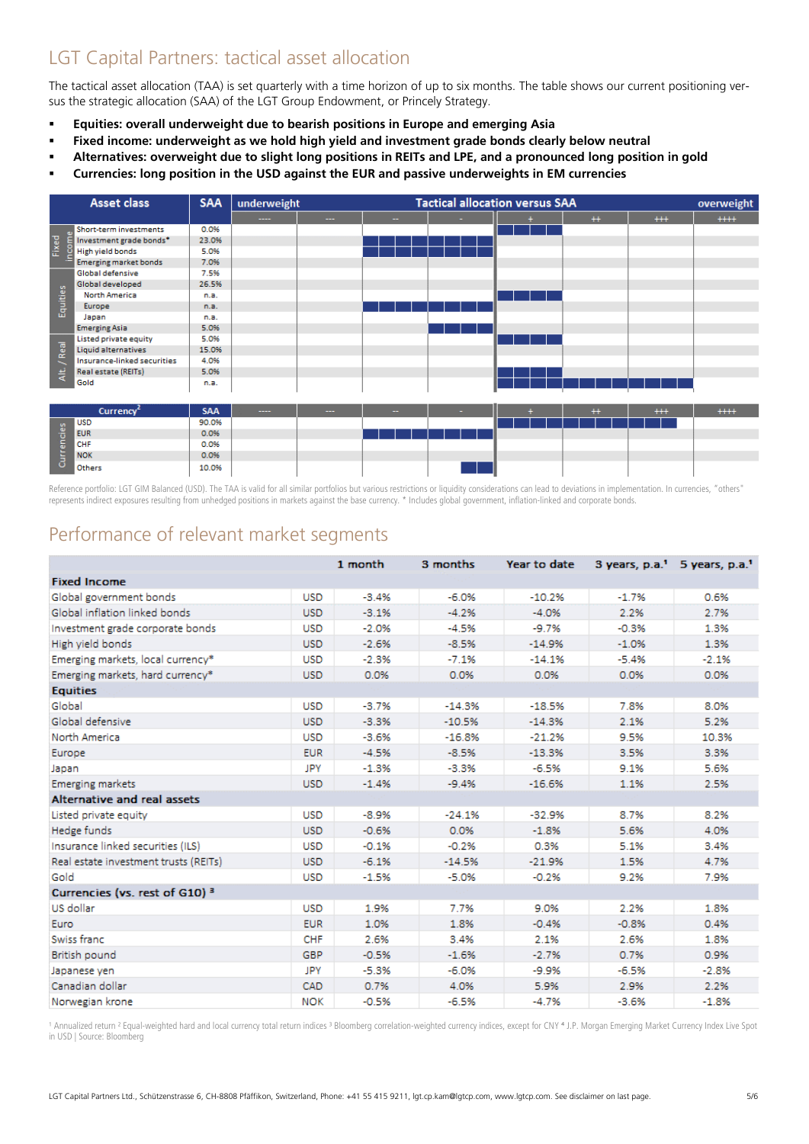## LGT Capital Partners: tactical asset allocation

The tactical asset allocation (TAA) is set quarterly with a time horizon of up to six months. The table shows our current positioning versus the strategic allocation (SAA) of the LGT Group Endowment, or Princely Strategy.

- **Equities: overall underweight due to bearish positions in Europe and emerging Asia**
- **Fixed income: underweight as we hold high yield and investment grade bonds clearly below neutral**
- **Alternatives: overweight due to slight long positions in REITs and LPE, and a pronounced long position in gold**
- **Currencies: long position in the USD against the EUR and passive underweights in EM currencies**



Reference portfolio: LGT GIM Balanced (USD). The TAA is valid for all similar portfolios but various restrictions or liquidity considerations can lead to deviations in implementation. In currencies, "others" represents indirect exposures resulting from unhedged positions in markets against the base currency. \* Includes global government, inflation-linked and corporate bonds.

### Performance of relevant market segments

|                                           | 1 month    |         | 3 months | Year to date | 3 years, p.a. <sup>1</sup> 5 years, p.a. <sup>1</sup> |         |  |
|-------------------------------------------|------------|---------|----------|--------------|-------------------------------------------------------|---------|--|
| <b>Fixed Income</b>                       |            |         |          |              |                                                       |         |  |
| Global government bonds                   | <b>USD</b> | $-3.4%$ | $-6.0%$  | $-10.2%$     | $-1.7%$                                               | 0.6%    |  |
| Global inflation linked bonds             | <b>USD</b> | $-3.1%$ | $-4.2%$  | $-4.0%$      | 2.2%                                                  | 2.7%    |  |
| Investment grade corporate bonds          | <b>USD</b> | $-2.0%$ | $-4.5%$  | $-9.7%$      | $-0.3%$                                               | 1.3%    |  |
| High yield bonds                          | <b>USD</b> | $-2.6%$ | $-8.5%$  | $-14.9%$     | $-1.0%$                                               | 1.3%    |  |
| Emerging markets, local currency*         | <b>USD</b> | $-2.3%$ | $-7.1%$  | $-14.1%$     | $-5.4%$                                               | $-2.1%$ |  |
| Emerging markets, hard currency*          | <b>USD</b> | 0.0%    | 0.0%     | 0.0%         | 0.0%                                                  | 0.0%    |  |
| <b>Equities</b>                           |            |         |          |              |                                                       |         |  |
| Global                                    | <b>USD</b> | $-3.7%$ | $-14.3%$ | $-18.5%$     | 7.8%                                                  | 8.0%    |  |
| Global defensive                          | <b>USD</b> | $-3.3%$ | $-10.5%$ | $-14.3%$     | 2.1%                                                  | 5.2%    |  |
| North America                             | <b>USD</b> | $-3.6%$ | $-16.8%$ | $-21.2%$     | 9.5%                                                  | 10.3%   |  |
| Europe                                    | <b>EUR</b> | $-4.5%$ | $-8.5%$  | $-13.3%$     | 3.5%                                                  | 3.3%    |  |
| Japan                                     | JPY        | $-1.3%$ | $-3.3%$  | $-6.5%$      | 9.1%                                                  | 5.6%    |  |
| <b>Emerging markets</b>                   | <b>USD</b> | $-1.4%$ | $-9.4%$  | $-16.6%$     | 1.1%                                                  | 2.5%    |  |
| Alternative and real assets               |            |         |          |              |                                                       |         |  |
| Listed private equity                     | <b>USD</b> | $-8.9%$ | $-24.1%$ | $-32.9%$     | 8.7%                                                  | 8.2%    |  |
| Hedge funds                               | <b>USD</b> | $-0.6%$ | 0.0%     | $-1.8%$      | 5.6%                                                  | 4.0%    |  |
| Insurance linked securities (ILS)         | <b>USD</b> | $-0.1%$ | $-0.2%$  | 0.3%         | 5.1%                                                  | 3.4%    |  |
| Real estate investment trusts (REITs)     | <b>USD</b> | $-6.1%$ | $-14.5%$ | $-21.9%$     | 1.5%                                                  | 4.7%    |  |
| Gold                                      | <b>USD</b> | $-1.5%$ | $-5.0%$  | $-0.2%$      | 9.2%                                                  | 7.9%    |  |
| Currencies (vs. rest of G10) <sup>3</sup> |            |         |          |              |                                                       |         |  |
| US dollar                                 | <b>USD</b> | 1.9%    | 7.7%     | 9.0%         | 2.2%                                                  | 1.8%    |  |
| Euro                                      | <b>EUR</b> | 1.0%    | 1.8%     | $-0.4%$      | $-0.8%$                                               | 0.4%    |  |
| Swiss franc                               | <b>CHF</b> | 2.6%    | 3.4%     | 2.1%         | 2.6%                                                  | 1.8%    |  |
| British pound                             | <b>GBP</b> | $-0.5%$ | $-1.6%$  | $-2.7%$      | 0.7%                                                  | 0.9%    |  |
| Japanese yen                              | JPY        | $-5.3%$ | $-6.0%$  | $-9.9%$      | $-6.5%$                                               | $-2.8%$ |  |
| Canadian dollar                           | CAD        | 0.7%    | 4.0%     | 5.9%         | 2.9%                                                  | 2.2%    |  |
| Norwegian krone                           | <b>NOK</b> | $-0.5%$ | $-6.5%$  | $-4.7%$      | $-3.6%$                                               | $-1.8%$ |  |

1 Annualized return <sup>2</sup> Equal-weighted hard and local currency total return indices <sup>3</sup> Bloomberg correlation-weighted currency indices, except for CNY <sup>4</sup> J.P. Morgan Emerging Market Currency Index Live Spot in USD | Source: Bloomberg